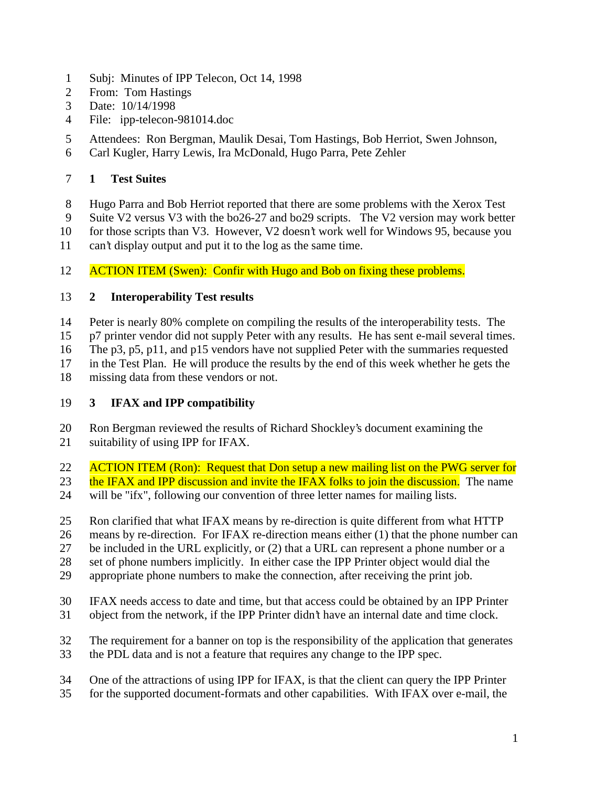- Subj: Minutes of IPP Telecon, Oct 14, 1998
- From: Tom Hastings
- Date: 10/14/1998
- File: ipp-telecon-981014.doc
- Attendees: Ron Bergman, Maulik Desai, Tom Hastings, Bob Herriot, Swen Johnson,
- Carl Kugler, Harry Lewis, Ira McDonald, Hugo Parra, Pete Zehler

## **1 Test Suites**

- Hugo Parra and Bob Herriot reported that there are some problems with the Xerox Test
- Suite V2 versus V3 with the bo26-27 and bo29 scripts. The V2 version may work better
- for those scripts than V3. However, V2 doesn't work well for Windows 95, because you
- can't display output and put it to the log as the same time.

## 12 ACTION ITEM (Swen): Confir with Hugo and Bob on fixing these problems.

## **2 Interoperability Test results**

- Peter is nearly 80% complete on compiling the results of the interoperability tests. The
- p7 printer vendor did not supply Peter with any results. He has sent e-mail several times.
- The p3, p5, p11, and p15 vendors have not supplied Peter with the summaries requested
- in the Test Plan. He will produce the results by the end of this week whether he gets the
- missing data from these vendors or not.

## **3 IFAX and IPP compatibility**

- Ron Bergman reviewed the results of Richard Shockley's document examining the suitability of using IPP for IFAX.
- 22 ACTION ITEM (Ron): Request that Don setup a new mailing list on the PWG server for
- 23 the IFAX and IPP discussion and invite the IFAX folks to join the discussion. The name
- will be "ifx", following our convention of three letter names for mailing lists.
- Ron clarified that what IFAX means by re-direction is quite different from what HTTP
- means by re-direction. For IFAX re-direction means either (1) that the phone number can
- be included in the URL explicitly, or (2) that a URL can represent a phone number or a
- set of phone numbers implicitly. In either case the IPP Printer object would dial the
- appropriate phone numbers to make the connection, after receiving the print job.
- IFAX needs access to date and time, but that access could be obtained by an IPP Printer object from the network, if the IPP Printer didn't have an internal date and time clock.
- The requirement for a banner on top is the responsibility of the application that generates
- the PDL data and is not a feature that requires any change to the IPP spec.
- One of the attractions of using IPP for IFAX, is that the client can query the IPP Printer
- for the supported document-formats and other capabilities. With IFAX over e-mail, the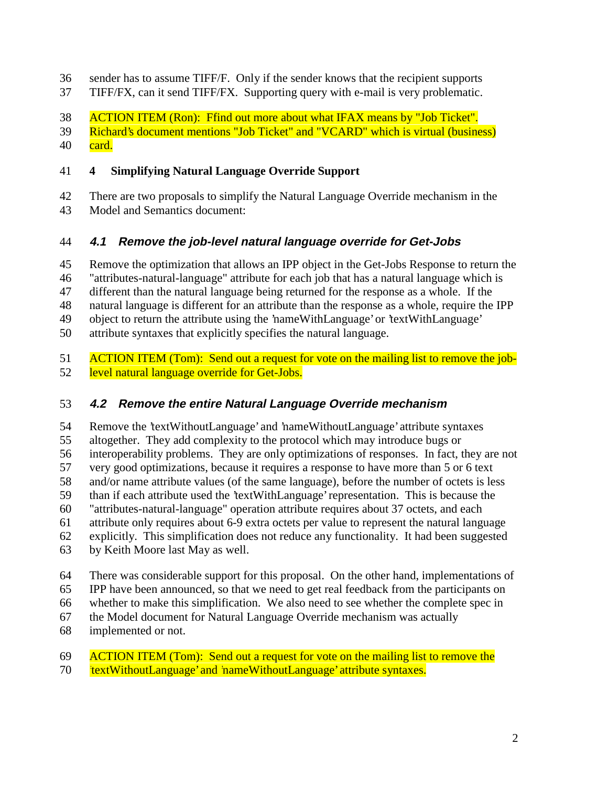- sender has to assume TIFF/F. Only if the sender knows that the recipient supports
- TIFF/FX, can it send TIFF/FX. Supporting query with e-mail is very problematic.
- ACTION ITEM (Ron): Ffind out more about what IFAX means by "Job Ticket".
- Richard's document mentions "Job Ticket" and "VCARD" which is virtual (business)
- $40 \quad \text{card.}$

### **4 Simplifying Natural Language Override Support**

- There are two proposals to simplify the Natural Language Override mechanism in the
- Model and Semantics document:

# **4.1 Remove the job-level natural language override for Get-Jobs**

- Remove the optimization that allows an IPP object in the Get-Jobs Response to return the
- "attributes-natural-language" attribute for each job that has a natural language which is
- different than the natural language being returned for the response as a whole. If the
- natural language is different for an attribute than the response as a whole, require the IPP
- object to return the attribute using the 'nameWithLanguage' or 'textWithLanguage'
- attribute syntaxes that explicitly specifies the natural language.
- 51 ACTION ITEM (Tom): Send out a request for vote on the mailing list to remove the job-level natural language override for Get-Jobs.

# **4.2 Remove the entire Natural Language Override mechanism**

 Remove the 'textWithoutLanguage' and 'nameWithoutLanguage' attribute syntaxes altogether. They add complexity to the protocol which may introduce bugs or interoperability problems. They are only optimizations of responses. In fact, they are not very good optimizations, because it requires a response to have more than 5 or 6 text and/or name attribute values (of the same language), before the number of octets is less than if each attribute used the 'textWithLanguage' representation. This is because the "attributes-natural-language" operation attribute requires about 37 octets, and each attribute only requires about 6-9 extra octets per value to represent the natural language explicitly. This simplification does not reduce any functionality. It had been suggested by Keith Moore last May as well.

- There was considerable support for this proposal. On the other hand, implementations of
- IPP have been announced, so that we need to get real feedback from the participants on
- whether to make this simplification. We also need to see whether the complete spec in
- the Model document for Natural Language Override mechanism was actually
- implemented or not.

# ACTION ITEM (Tom): Send out a request for vote on the mailing list to remove the

*textWithoutLanguage'* and 'nameWithoutLanguage' attribute syntaxes.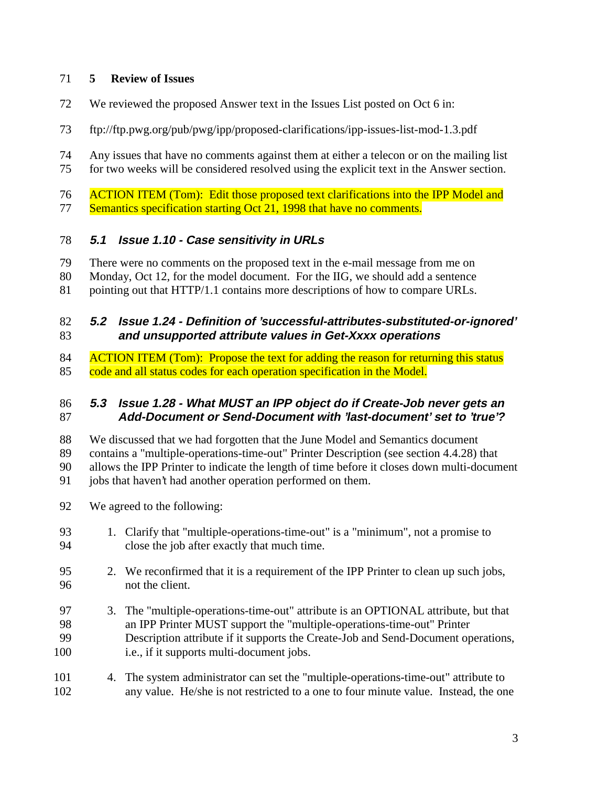### **5 Review of Issues**

- We reviewed the proposed Answer text in the Issues List posted on Oct 6 in:
- ftp://ftp.pwg.org/pub/pwg/ipp/proposed-clarifications/ipp-issues-list-mod-1.3.pdf
- Any issues that have no comments against them at either a telecon or on the mailing list for two weeks will be considered resolved using the explicit text in the Answer section.

 ACTION ITEM (Tom): Edit those proposed text clarifications into the IPP Model and 77 Semantics specification starting Oct 21, 1998 that have no comments.

### **5.1 Issue 1.10 - Case sensitivity in URLs**

- There were no comments on the proposed text in the e-mail message from me on
- Monday, Oct 12, for the model document. For the IIG, we should add a sentence
- pointing out that HTTP/1.1 contains more descriptions of how to compare URLs.

### **5.2 Issue 1.24 - Definition of 'successful-attributes-substituted-or-ignored' and unsupported attribute values in Get-Xxxx operations**

84 ACTION ITEM (Tom): Propose the text for adding the reason for returning this status 85 code and all status codes for each operation specification in the Model.

#### **5.3 Issue 1.28 - What MUST an IPP object do if Create-Job never gets an Add-Document or Send-Document with 'last-document' set to 'true'?**

- We discussed that we had forgotten that the June Model and Semantics document
- contains a "multiple-operations-time-out" Printer Description (see section 4.4.28) that

allows the IPP Printer to indicate the length of time before it closes down multi-document

- 91 jobs that haven't had another operation performed on them.
- We agreed to the following:
- 1. Clarify that "multiple-operations-time-out" is a "minimum", not a promise to close the job after exactly that much time.
- 2. We reconfirmed that it is a requirement of the IPP Printer to clean up such jobs, not the client.
- 3. The "multiple-operations-time-out" attribute is an OPTIONAL attribute, but that an IPP Printer MUST support the "multiple-operations-time-out" Printer Description attribute if it supports the Create-Job and Send-Document operations, i.e., if it supports multi-document jobs.
- 4. The system administrator can set the "multiple-operations-time-out" attribute to any value. He/she is not restricted to a one to four minute value. Instead, the one